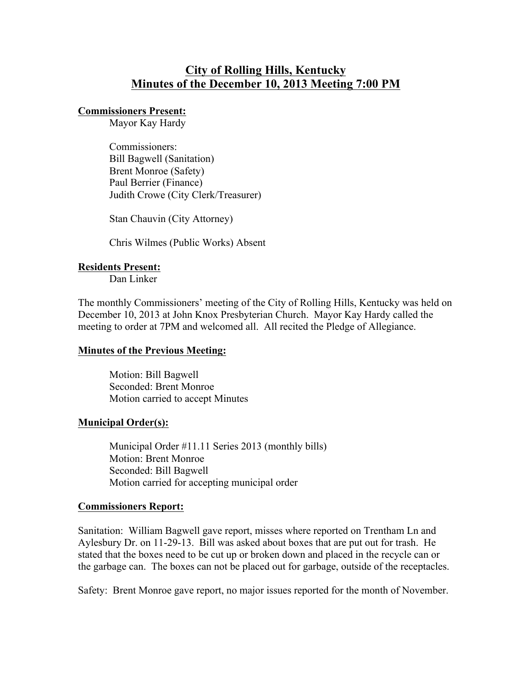# **City of Rolling Hills, Kentucky Minutes of the December 10, 2013 Meeting 7:00 PM**

### **Commissioners Present:**

Mayor Kay Hardy

Commissioners: Bill Bagwell (Sanitation) Brent Monroe (Safety) Paul Berrier (Finance) Judith Crowe (City Clerk/Treasurer)

Stan Chauvin (City Attorney)

Chris Wilmes (Public Works) Absent

#### **Residents Present:**

Dan Linker

The monthly Commissioners' meeting of the City of Rolling Hills, Kentucky was held on December 10, 2013 at John Knox Presbyterian Church. Mayor Kay Hardy called the meeting to order at 7PM and welcomed all. All recited the Pledge of Allegiance.

#### **Minutes of the Previous Meeting:**

Motion: Bill Bagwell Seconded: Brent Monroe Motion carried to accept Minutes

#### **Municipal Order(s):**

Municipal Order #11.11 Series 2013 (monthly bills) Motion: Brent Monroe Seconded: Bill Bagwell Motion carried for accepting municipal order

#### **Commissioners Report:**

Sanitation: William Bagwell gave report, misses where reported on Trentham Ln and Aylesbury Dr. on 11-29-13. Bill was asked about boxes that are put out for trash. He stated that the boxes need to be cut up or broken down and placed in the recycle can or the garbage can. The boxes can not be placed out for garbage, outside of the receptacles.

Safety: Brent Monroe gave report, no major issues reported for the month of November.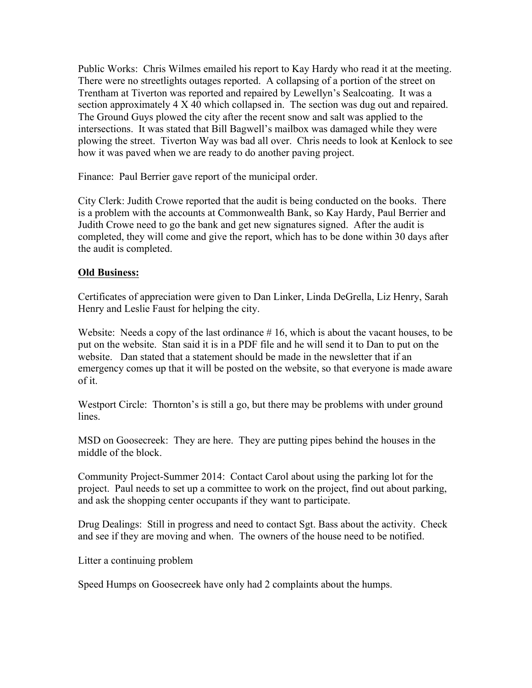Public Works: Chris Wilmes emailed his report to Kay Hardy who read it at the meeting. There were no streetlights outages reported. A collapsing of a portion of the street on Trentham at Tiverton was reported and repaired by Lewellyn's Sealcoating. It was a section approximately 4 X 40 which collapsed in. The section was dug out and repaired. The Ground Guys plowed the city after the recent snow and salt was applied to the intersections. It was stated that Bill Bagwell's mailbox was damaged while they were plowing the street. Tiverton Way was bad all over. Chris needs to look at Kenlock to see how it was paved when we are ready to do another paving project.

Finance: Paul Berrier gave report of the municipal order.

City Clerk: Judith Crowe reported that the audit is being conducted on the books. There is a problem with the accounts at Commonwealth Bank, so Kay Hardy, Paul Berrier and Judith Crowe need to go the bank and get new signatures signed. After the audit is completed, they will come and give the report, which has to be done within 30 days after the audit is completed.

## **Old Business:**

Certificates of appreciation were given to Dan Linker, Linda DeGrella, Liz Henry, Sarah Henry and Leslie Faust for helping the city.

Website: Needs a copy of the last ordinance  $# 16$ , which is about the vacant houses, to be put on the website. Stan said it is in a PDF file and he will send it to Dan to put on the website. Dan stated that a statement should be made in the newsletter that if an emergency comes up that it will be posted on the website, so that everyone is made aware of it.

Westport Circle: Thornton's is still a go, but there may be problems with under ground lines.

MSD on Goosecreek: They are here. They are putting pipes behind the houses in the middle of the block.

Community Project-Summer 2014: Contact Carol about using the parking lot for the project. Paul needs to set up a committee to work on the project, find out about parking, and ask the shopping center occupants if they want to participate.

Drug Dealings: Still in progress and need to contact Sgt. Bass about the activity. Check and see if they are moving and when. The owners of the house need to be notified.

Litter a continuing problem

Speed Humps on Goosecreek have only had 2 complaints about the humps.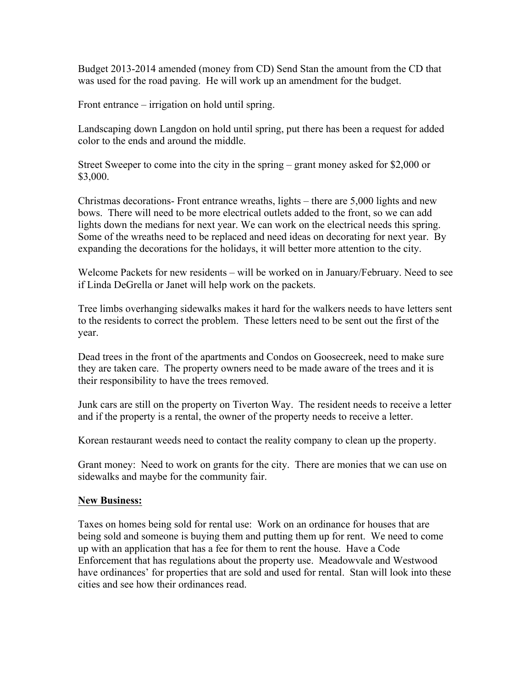Budget 2013-2014 amended (money from CD) Send Stan the amount from the CD that was used for the road paving. He will work up an amendment for the budget.

Front entrance – irrigation on hold until spring.

Landscaping down Langdon on hold until spring, put there has been a request for added color to the ends and around the middle.

Street Sweeper to come into the city in the spring – grant money asked for \$2,000 or \$3,000.

Christmas decorations- Front entrance wreaths, lights – there are 5,000 lights and new bows. There will need to be more electrical outlets added to the front, so we can add lights down the medians for next year. We can work on the electrical needs this spring. Some of the wreaths need to be replaced and need ideas on decorating for next year. By expanding the decorations for the holidays, it will better more attention to the city.

Welcome Packets for new residents – will be worked on in January/February. Need to see if Linda DeGrella or Janet will help work on the packets.

Tree limbs overhanging sidewalks makes it hard for the walkers needs to have letters sent to the residents to correct the problem. These letters need to be sent out the first of the year.

Dead trees in the front of the apartments and Condos on Goosecreek, need to make sure they are taken care. The property owners need to be made aware of the trees and it is their responsibility to have the trees removed.

Junk cars are still on the property on Tiverton Way. The resident needs to receive a letter and if the property is a rental, the owner of the property needs to receive a letter.

Korean restaurant weeds need to contact the reality company to clean up the property.

Grant money: Need to work on grants for the city. There are monies that we can use on sidewalks and maybe for the community fair.

#### **New Business:**

Taxes on homes being sold for rental use: Work on an ordinance for houses that are being sold and someone is buying them and putting them up for rent. We need to come up with an application that has a fee for them to rent the house. Have a Code Enforcement that has regulations about the property use. Meadowvale and Westwood have ordinances' for properties that are sold and used for rental. Stan will look into these cities and see how their ordinances read.